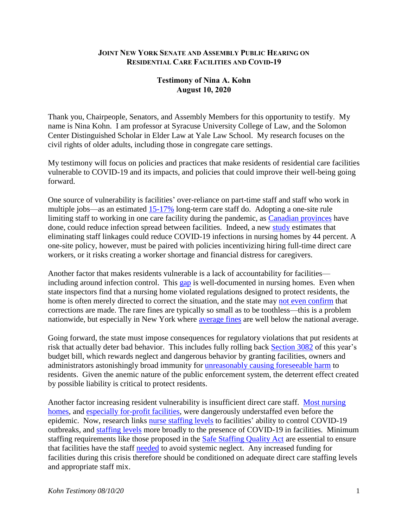## **JOINT NEW YORK SENATE AND ASSEMBLY PUBLIC HEARING ON RESIDENTIAL CARE FACILITIES AND COVID-19**

## **Testimony of Nina A. Kohn August 10, 2020**

Thank you, Chairpeople, Senators, and Assembly Members for this opportunity to testify. My name is Nina Kohn. I am professor at Syracuse University College of Law, and the Solomon Center Distinguished Scholar in Elder Law at Yale Law School. My research focuses on the civil rights of older adults, including those in congregate care settings.

My testimony will focus on policies and practices that make residents of residential care facilities vulnerable to COVID-19 and its impacts, and policies that could improve their well-being going forward.

One source of vulnerability is facilities' over-reliance on part-time staff and staff who work in multiple jobs—as an estimated [15-17%](https://onlinelibrary.wiley.com/doi/full/10.1111/jgs.16509) long-term care staff do. Adopting a one-site rule limiting staff to working in one care facility during the pandemic, as [Canadian provinces](https://www.ontario.ca/page/covid-19-action-plan-long-term-care-homes) have done, could reduce infection spread between facilities. Indeed, a new [study](https://www.nber.org/papers/w27608) estimates that eliminating staff linkages could reduce COVID-19 infections in nursing homes by 44 percent. A one-site policy, however, must be paired with policies incentivizing hiring full-time direct care workers, or it risks creating a worker shortage and financial distress for caregivers.

Another factor that makes residents vulnerable is a lack of accountability for facilities including around infection control. This [gap](https://www.washingtonpost.com/outlook/nursing-home-coronavirus-discrimination-elderly-deaths/2020/05/07/751fc464-8fb7-11ea-9e23-6914ee410a5f_story.html) is well-documented in nursing homes. Even when state inspectors find that a nursing home violated regulations designed to protect residents, the home is often merely directed to correct the situation, and the state may [not even confirm](https://oig.hhs.gov/oas/reports/region9/91802000.pdf) that corrections are made. The rare fines are typically so small as to be toothless—this is a problem nationwide, but especially in New York where [average fines](file:///C:/Users/NAKOHN/AppData/Local/Temp/LTCCC-Report-NY-Nursing-Homes-Regional-Assessment2020.pdf) are well below the national average.

Going forward, the state must impose consequences for regulatory violations that put residents at risk that actually deter bad behavior. This includes fully rolling back [Section 3082](https://assembly.state.ny.us/leg/?default_fld=%0D%0A&leg_video=&bn=A9506&term=0&Summary=Y&Actions=Y&Memo=Y&Text=Y) of this year's budget bill, which rewards neglect and dangerous behavior by granting facilities, owners and administrators astonishingly broad immunity for [unreasonably causing foreseeable harm](https://thehill.com/opinion/healthcare/499286-nursing-homes-need-increased-staffing-not-legal-immunity) to residents. Given the anemic nature of the public enforcement system, the deterrent effect created by possible liability is critical to protect residents.

Another factor increasing resident vulnerability is insufficient direct care staff. [Most nursing](https://www.ncbi.nlm.nih.gov/pmc/articles/PMC4833431/)  [homes,](https://www.ncbi.nlm.nih.gov/pmc/articles/PMC4833431/) and [especially for-profit facilities,](https://www.wsj.com/articles/thinly-staffed-nursing-homes-face-challenges-in-pandemic-11588343407) were dangerously understaffed even before the epidemic. Now, research links [nurse staffing levels](https://onlinelibrary.wiley.com/doi/abs/10.1111/jgs.16787) to facilities' ability to control COVID-19 outbreaks, and [staffing levels](https://journals.sagepub.com/doi/full/10.1177/1527154420938707) more broadly to the presence of COVID-19 in facilities. Minimum staffing requirements like those proposed in the [Safe Staffing Quality Act](https://legislation.nysenate.gov/pdf/bills/2019/A2954) are essential to ensure that facilities have the staff [needed](https://www.ncbi.nlm.nih.gov/pmc/articles/PMC4833431/) to avoid systemic neglect. Any increased funding for facilities during this crisis therefore should be conditioned on adequate direct care staffing levels and appropriate staff mix.